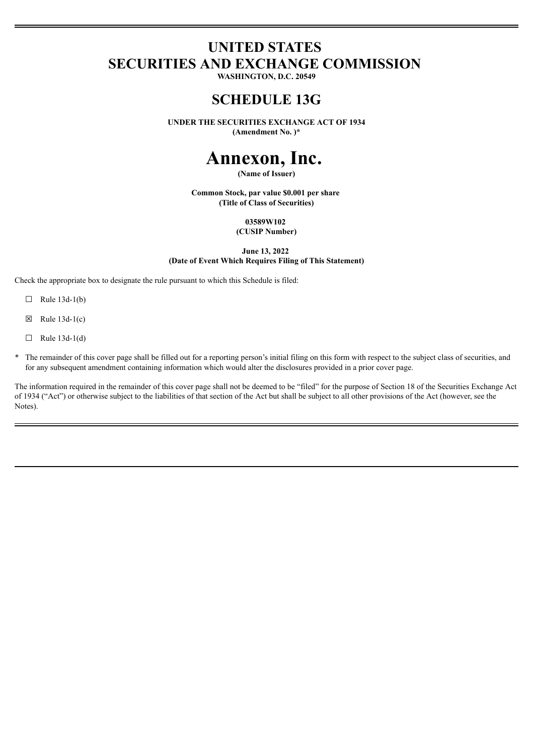# **UNITED STATES SECURITIES AND EXCHANGE COMMISSION**

**WASHINGTON, D.C. 20549**

# **SCHEDULE 13G**

**UNDER THE SECURITIES EXCHANGE ACT OF 1934**

**(Amendment No. )\***

# **Annexon, Inc.**

**(Name of Issuer)**

**Common Stock, par value \$0.001 per share (Title of Class of Securities)**

> **03589W102 (CUSIP Number)**

**June 13, 2022 (Date of Event Which Requires Filing of This Statement)**

Check the appropriate box to designate the rule pursuant to which this Schedule is filed:

- $\Box$  Rule 13d-1(b)
- $\boxtimes$  Rule 13d-1(c)
- $\Box$  Rule 13d-1(d)
- The remainder of this cover page shall be filled out for a reporting person's initial filing on this form with respect to the subject class of securities, and for any subsequent amendment containing information which would alter the disclosures provided in a prior cover page.

The information required in the remainder of this cover page shall not be deemed to be "filed" for the purpose of Section 18 of the Securities Exchange Act of 1934 ("Act") or otherwise subject to the liabilities of that section of the Act but shall be subject to all other provisions of the Act (however, see the Notes).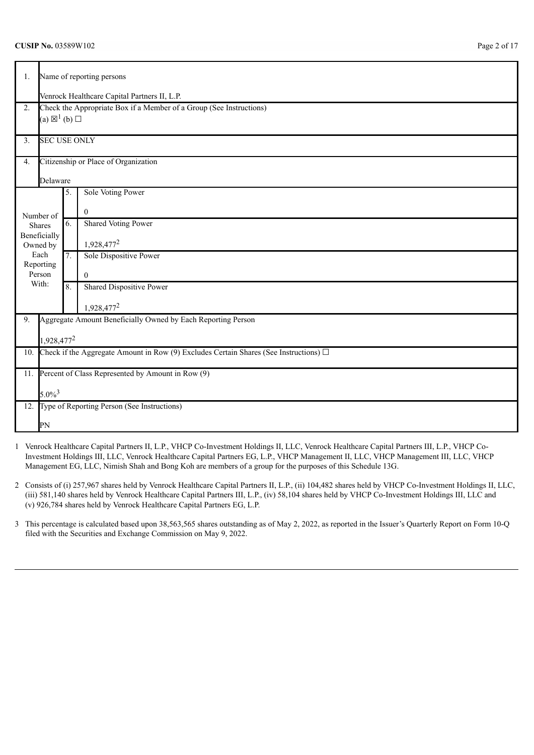| 1.             | Name of reporting persons                                           |                                              |                                                                                            |  |  |  |  |  |
|----------------|---------------------------------------------------------------------|----------------------------------------------|--------------------------------------------------------------------------------------------|--|--|--|--|--|
|                |                                                                     | Venrock Healthcare Capital Partners II, L.P. |                                                                                            |  |  |  |  |  |
| 2.             | Check the Appropriate Box if a Member of a Group (See Instructions) |                                              |                                                                                            |  |  |  |  |  |
|                | (a) $\boxtimes^1$ (b) $\square$                                     |                                              |                                                                                            |  |  |  |  |  |
|                |                                                                     |                                              |                                                                                            |  |  |  |  |  |
| 3 <sub>1</sub> | <b>SEC USE ONLY</b>                                                 |                                              |                                                                                            |  |  |  |  |  |
| 4.             |                                                                     |                                              | Citizenship or Place of Organization                                                       |  |  |  |  |  |
|                | Delaware                                                            |                                              |                                                                                            |  |  |  |  |  |
|                |                                                                     | 5.                                           | Sole Voting Power                                                                          |  |  |  |  |  |
|                | Number of                                                           |                                              | $\Omega$                                                                                   |  |  |  |  |  |
|                | Shares                                                              | 6.                                           | <b>Shared Voting Power</b>                                                                 |  |  |  |  |  |
|                | Beneficially                                                        |                                              |                                                                                            |  |  |  |  |  |
|                | Owned by<br>Each                                                    | 7.                                           | 1,928,477 <sup>2</sup>                                                                     |  |  |  |  |  |
|                | Reporting                                                           |                                              | Sole Dispositive Power                                                                     |  |  |  |  |  |
|                | Person                                                              |                                              | $\mathbf{0}$                                                                               |  |  |  |  |  |
|                | With:                                                               | 8.                                           | Shared Dispositive Power                                                                   |  |  |  |  |  |
|                |                                                                     |                                              | 1,928,477 <sup>2</sup>                                                                     |  |  |  |  |  |
| 9.             |                                                                     |                                              | Aggregate Amount Beneficially Owned by Each Reporting Person                               |  |  |  |  |  |
|                |                                                                     |                                              |                                                                                            |  |  |  |  |  |
|                | 1,928,477 <sup>2</sup>                                              |                                              |                                                                                            |  |  |  |  |  |
| 10.            |                                                                     |                                              | Check if the Aggregate Amount in Row (9) Excludes Certain Shares (See Instructions) $\Box$ |  |  |  |  |  |
| 11.            | Percent of Class Represented by Amount in Row (9)                   |                                              |                                                                                            |  |  |  |  |  |
|                | $5.0\%^{3}$                                                         |                                              |                                                                                            |  |  |  |  |  |
| 12.            |                                                                     |                                              | Type of Reporting Person (See Instructions)                                                |  |  |  |  |  |
|                | PN                                                                  |                                              |                                                                                            |  |  |  |  |  |

- 1 Venrock Healthcare Capital Partners II, L.P., VHCP Co-Investment Holdings II, LLC, Venrock Healthcare Capital Partners III, L.P., VHCP Co-Investment Holdings III, LLC, Venrock Healthcare Capital Partners EG, L.P., VHCP Management II, LLC, VHCP Management III, LLC, VHCP Management EG, LLC, Nimish Shah and Bong Koh are members of a group for the purposes of this Schedule 13G.
- 2 Consists of (i) 257,967 shares held by Venrock Healthcare Capital Partners II, L.P., (ii) 104,482 shares held by VHCP Co-Investment Holdings II, LLC, (iii) 581,140 shares held by Venrock Healthcare Capital Partners III, L.P., (iv) 58,104 shares held by VHCP Co-Investment Holdings III, LLC and (v) 926,784 shares held by Venrock Healthcare Capital Partners EG, L.P.
- 3 This percentage is calculated based upon 38,563,565 shares outstanding as of May 2, 2022, as reported in the Issuer's Quarterly Report on Form 10-Q filed with the Securities and Exchange Commission on May 9, 2022.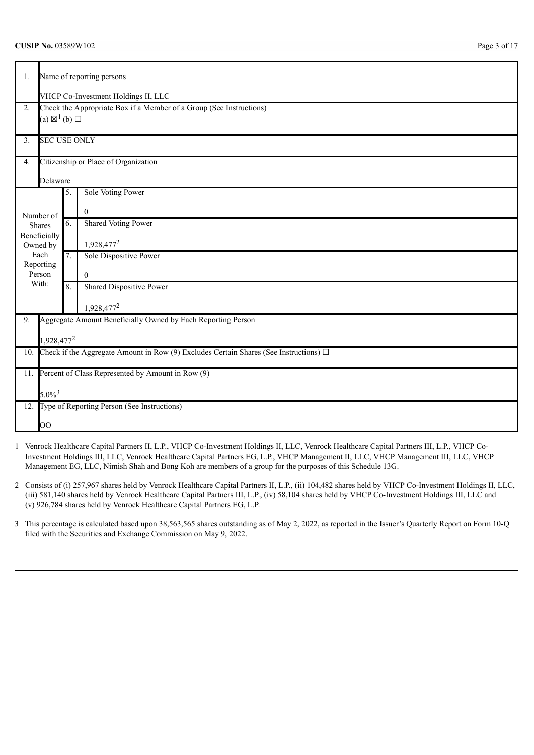| 1.  | Name of reporting persons                                                                  |    |                                                                     |  |  |  |  |
|-----|--------------------------------------------------------------------------------------------|----|---------------------------------------------------------------------|--|--|--|--|
|     | VHCP Co-Investment Holdings II, LLC                                                        |    |                                                                     |  |  |  |  |
| 2.  |                                                                                            |    | Check the Appropriate Box if a Member of a Group (See Instructions) |  |  |  |  |
|     | (a) $\boxtimes^1$ (b) $\square$                                                            |    |                                                                     |  |  |  |  |
|     |                                                                                            |    |                                                                     |  |  |  |  |
| 3.  | <b>SEC USE ONLY</b>                                                                        |    |                                                                     |  |  |  |  |
| 4.  |                                                                                            |    | Citizenship or Place of Organization                                |  |  |  |  |
|     | Delaware                                                                                   |    |                                                                     |  |  |  |  |
|     |                                                                                            | 5. | Sole Voting Power                                                   |  |  |  |  |
|     | Number of                                                                                  |    | $\Omega$                                                            |  |  |  |  |
|     | Shares                                                                                     | 6. | <b>Shared Voting Power</b>                                          |  |  |  |  |
|     | Beneficially                                                                               |    | 1,928,477 <sup>2</sup>                                              |  |  |  |  |
|     | Owned by<br>Each                                                                           | 7. | Sole Dispositive Power                                              |  |  |  |  |
|     | Reporting                                                                                  |    |                                                                     |  |  |  |  |
|     | Person                                                                                     |    | $\mathbf{0}$                                                        |  |  |  |  |
|     | With:                                                                                      | 8. | Shared Dispositive Power                                            |  |  |  |  |
|     |                                                                                            |    | 1,928,477 <sup>2</sup>                                              |  |  |  |  |
| 9.  |                                                                                            |    | Aggregate Amount Beneficially Owned by Each Reporting Person        |  |  |  |  |
|     |                                                                                            |    |                                                                     |  |  |  |  |
|     | 1,928,477 <sup>2</sup>                                                                     |    |                                                                     |  |  |  |  |
| 10. | Check if the Aggregate Amount in Row (9) Excludes Certain Shares (See Instructions) $\Box$ |    |                                                                     |  |  |  |  |
| 11. |                                                                                            |    | Percent of Class Represented by Amount in Row (9)                   |  |  |  |  |
|     | $5.0\%^{3}$                                                                                |    |                                                                     |  |  |  |  |
| 12. |                                                                                            |    | Type of Reporting Person (See Instructions)                         |  |  |  |  |
|     | OO                                                                                         |    |                                                                     |  |  |  |  |

- 1 Venrock Healthcare Capital Partners II, L.P., VHCP Co-Investment Holdings II, LLC, Venrock Healthcare Capital Partners III, L.P., VHCP Co-Investment Holdings III, LLC, Venrock Healthcare Capital Partners EG, L.P., VHCP Management II, LLC, VHCP Management III, LLC, VHCP Management EG, LLC, Nimish Shah and Bong Koh are members of a group for the purposes of this Schedule 13G.
- 2 Consists of (i) 257,967 shares held by Venrock Healthcare Capital Partners II, L.P., (ii) 104,482 shares held by VHCP Co-Investment Holdings II, LLC, (iii) 581,140 shares held by Venrock Healthcare Capital Partners III, L.P., (iv) 58,104 shares held by VHCP Co-Investment Holdings III, LLC and (v) 926,784 shares held by Venrock Healthcare Capital Partners EG, L.P.
- 3 This percentage is calculated based upon 38,563,565 shares outstanding as of May 2, 2022, as reported in the Issuer's Quarterly Report on Form 10-Q filed with the Securities and Exchange Commission on May 9, 2022.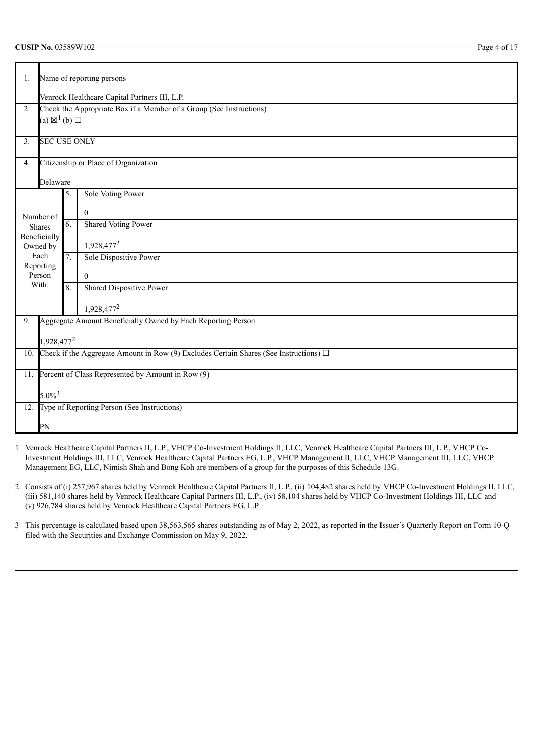# **CUSIP No.** 03589W102 Page 4 of 17

| 1.             | Name of reporting persons                     |                  |                                                                                            |  |  |  |  |
|----------------|-----------------------------------------------|------------------|--------------------------------------------------------------------------------------------|--|--|--|--|
|                | Venrock Healthcare Capital Partners III, L.P. |                  |                                                                                            |  |  |  |  |
| 2.             |                                               |                  | Check the Appropriate Box if a Member of a Group (See Instructions)                        |  |  |  |  |
|                | (a) $\boxtimes^1$ (b) $\square$               |                  |                                                                                            |  |  |  |  |
| 3 <sub>1</sub> | <b>SEC USE ONLY</b>                           |                  |                                                                                            |  |  |  |  |
| 4.             |                                               |                  | Citizenship or Place of Organization                                                       |  |  |  |  |
|                | Delaware                                      |                  |                                                                                            |  |  |  |  |
|                |                                               | 5.               | <b>Sole Voting Power</b>                                                                   |  |  |  |  |
|                | Number of                                     |                  | $\overline{0}$                                                                             |  |  |  |  |
|                | Shares                                        | 6.               | <b>Shared Voting Power</b>                                                                 |  |  |  |  |
|                | Beneficially                                  |                  | 1,928,477 <sup>2</sup>                                                                     |  |  |  |  |
|                | Owned by<br>Each                              | $\overline{7}$ . | Sole Dispositive Power                                                                     |  |  |  |  |
|                | Reporting                                     |                  |                                                                                            |  |  |  |  |
|                | Person<br>With:                               |                  | $\theta$                                                                                   |  |  |  |  |
|                |                                               | 8.               | <b>Shared Dispositive Power</b>                                                            |  |  |  |  |
|                |                                               |                  | 1,928,477 <sup>2</sup>                                                                     |  |  |  |  |
| 9.             |                                               |                  | Aggregate Amount Beneficially Owned by Each Reporting Person                               |  |  |  |  |
|                | 1,928,477 <sup>2</sup>                        |                  |                                                                                            |  |  |  |  |
| 10.            |                                               |                  | Check if the Aggregate Amount in Row (9) Excludes Certain Shares (See Instructions) $\Box$ |  |  |  |  |
|                |                                               |                  |                                                                                            |  |  |  |  |
| 11.            |                                               |                  | Percent of Class Represented by Amount in Row (9)                                          |  |  |  |  |
|                | $5.0\%^{3}$                                   |                  |                                                                                            |  |  |  |  |
| 12.            |                                               |                  | Type of Reporting Person (See Instructions)                                                |  |  |  |  |
|                | PN                                            |                  |                                                                                            |  |  |  |  |

1 Venrock Healthcare Capital Partners II, L.P., VHCP Co-Investment Holdings II, LLC, Venrock Healthcare Capital Partners III, L.P., VHCP Co-Investment Holdings III, LLC, Venrock Healthcare Capital Partners EG, L.P., VHCP Management II, LLC, VHCP Management III, LLC, VHCP Management EG, LLC, Nimish Shah and Bong Koh are members of a group for the purposes of this Schedule 13G.

2 Consists of (i) 257,967 shares held by Venrock Healthcare Capital Partners II, L.P., (ii) 104,482 shares held by VHCP Co-Investment Holdings II, LLC, (iii) 581,140 shares held by Venrock Healthcare Capital Partners III, L.P., (iv) 58,104 shares held by VHCP Co-Investment Holdings III, LLC and (v) 926,784 shares held by Venrock Healthcare Capital Partners EG, L.P.

3 This percentage is calculated based upon 38,563,565 shares outstanding as of May 2, 2022, as reported in the Issuer's Quarterly Report on Form 10-Q filed with the Securities and Exchange Commission on May 9, 2022.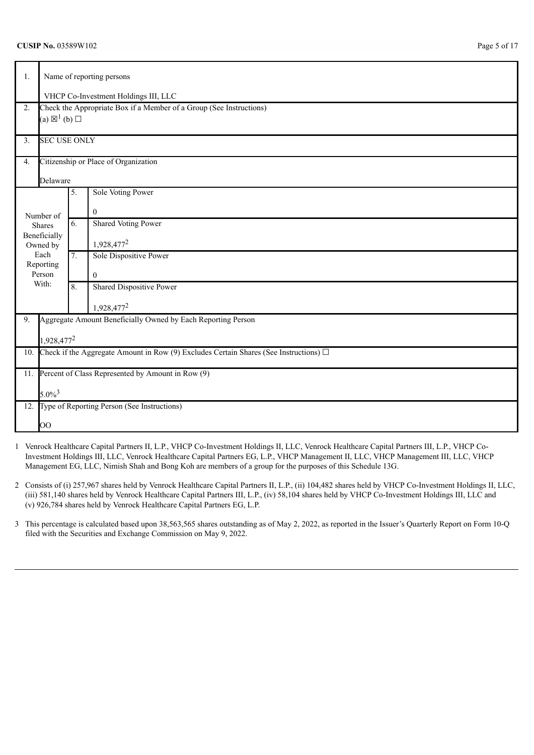| 1.             | Name of reporting persons                                                                                            |                                      |                                                                     |  |  |  |  |  |
|----------------|----------------------------------------------------------------------------------------------------------------------|--------------------------------------|---------------------------------------------------------------------|--|--|--|--|--|
|                |                                                                                                                      | VHCP Co-Investment Holdings III, LLC |                                                                     |  |  |  |  |  |
| 2.             |                                                                                                                      |                                      | Check the Appropriate Box if a Member of a Group (See Instructions) |  |  |  |  |  |
|                | (a) $\boxtimes^1$ (b) $\square$                                                                                      |                                      |                                                                     |  |  |  |  |  |
| 3 <sub>1</sub> | <b>SEC USE ONLY</b>                                                                                                  |                                      |                                                                     |  |  |  |  |  |
| 4.             |                                                                                                                      |                                      | Citizenship or Place of Organization                                |  |  |  |  |  |
|                | Delaware                                                                                                             |                                      |                                                                     |  |  |  |  |  |
|                |                                                                                                                      | 5.                                   | Sole Voting Power                                                   |  |  |  |  |  |
|                | Number of                                                                                                            |                                      | $\mathbf{0}$                                                        |  |  |  |  |  |
|                | Shares                                                                                                               | 6.                                   | <b>Shared Voting Power</b>                                          |  |  |  |  |  |
|                | Beneficially                                                                                                         |                                      |                                                                     |  |  |  |  |  |
|                | Owned by<br>Each                                                                                                     | 7.                                   | 1,928,477 <sup>2</sup><br>Sole Dispositive Power                    |  |  |  |  |  |
|                | Reporting                                                                                                            |                                      |                                                                     |  |  |  |  |  |
|                | Person                                                                                                               |                                      | $\overline{0}$                                                      |  |  |  |  |  |
|                | With:                                                                                                                | 8.                                   | <b>Shared Dispositive Power</b>                                     |  |  |  |  |  |
|                |                                                                                                                      |                                      | 1,928,477 <sup>2</sup>                                              |  |  |  |  |  |
| 9.             |                                                                                                                      |                                      | Aggregate Amount Beneficially Owned by Each Reporting Person        |  |  |  |  |  |
|                |                                                                                                                      |                                      |                                                                     |  |  |  |  |  |
| 10.            | 1,928,477 <sup>2</sup><br>Check if the Aggregate Amount in Row (9) Excludes Certain Shares (See Instructions) $\Box$ |                                      |                                                                     |  |  |  |  |  |
|                |                                                                                                                      |                                      |                                                                     |  |  |  |  |  |
| 11.            | Percent of Class Represented by Amount in Row (9)                                                                    |                                      |                                                                     |  |  |  |  |  |
|                | $5.0\%^{3}$                                                                                                          |                                      |                                                                     |  |  |  |  |  |
|                |                                                                                                                      |                                      | 12. Type of Reporting Person (See Instructions)                     |  |  |  |  |  |
|                | O <sub>O</sub>                                                                                                       |                                      |                                                                     |  |  |  |  |  |

- 1 Venrock Healthcare Capital Partners II, L.P., VHCP Co-Investment Holdings II, LLC, Venrock Healthcare Capital Partners III, L.P., VHCP Co-Investment Holdings III, LLC, Venrock Healthcare Capital Partners EG, L.P., VHCP Management II, LLC, VHCP Management III, LLC, VHCP Management EG, LLC, Nimish Shah and Bong Koh are members of a group for the purposes of this Schedule 13G.
- 2 Consists of (i) 257,967 shares held by Venrock Healthcare Capital Partners II, L.P., (ii) 104,482 shares held by VHCP Co-Investment Holdings II, LLC, (iii) 581,140 shares held by Venrock Healthcare Capital Partners III, L.P., (iv) 58,104 shares held by VHCP Co-Investment Holdings III, LLC and (v) 926,784 shares held by Venrock Healthcare Capital Partners EG, L.P.
- 3 This percentage is calculated based upon 38,563,565 shares outstanding as of May 2, 2022, as reported in the Issuer's Quarterly Report on Form 10-Q filed with the Securities and Exchange Commission on May 9, 2022.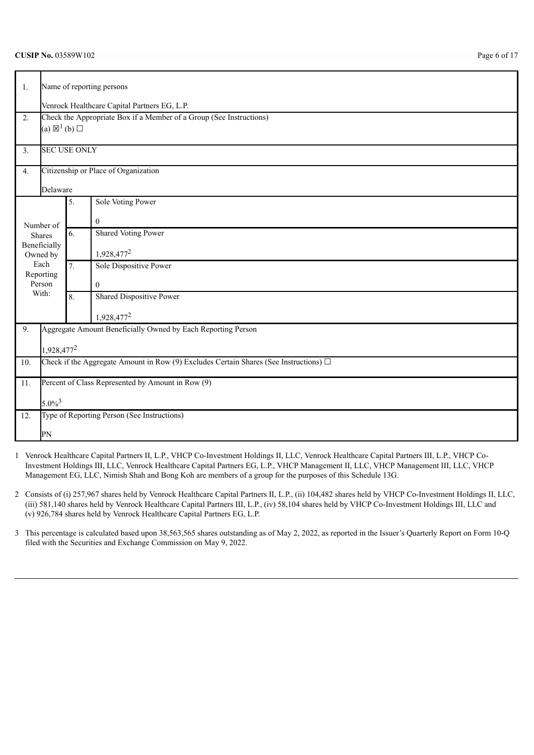| 1.  |                          | Name of reporting persons                                                                              |                                                                                            |  |  |  |  |  |
|-----|--------------------------|--------------------------------------------------------------------------------------------------------|--------------------------------------------------------------------------------------------|--|--|--|--|--|
|     |                          | Venrock Healthcare Capital Partners EG, L.P.                                                           |                                                                                            |  |  |  |  |  |
| 2.  |                          | Check the Appropriate Box if a Member of a Group (See Instructions)<br>(a) $\boxtimes^1$ (b) $\square$ |                                                                                            |  |  |  |  |  |
|     |                          |                                                                                                        |                                                                                            |  |  |  |  |  |
| 3.  | <b>SEC USE ONLY</b>      |                                                                                                        |                                                                                            |  |  |  |  |  |
| 4.  |                          | Citizenship or Place of Organization                                                                   |                                                                                            |  |  |  |  |  |
|     | Delaware                 |                                                                                                        |                                                                                            |  |  |  |  |  |
|     |                          | 5.                                                                                                     | Sole Voting Power                                                                          |  |  |  |  |  |
|     | Number of                |                                                                                                        | $\mathbf{0}$                                                                               |  |  |  |  |  |
|     | Shares                   | 6.                                                                                                     | <b>Shared Voting Power</b>                                                                 |  |  |  |  |  |
|     | Beneficially<br>Owned by |                                                                                                        | 1,928,477 <sup>2</sup>                                                                     |  |  |  |  |  |
|     | Each<br>Reporting        | 7.                                                                                                     | Sole Dispositive Power                                                                     |  |  |  |  |  |
|     | Person                   |                                                                                                        | $\mathbf{0}$                                                                               |  |  |  |  |  |
|     | With:                    | 8.                                                                                                     | <b>Shared Dispositive Power</b>                                                            |  |  |  |  |  |
|     |                          |                                                                                                        | 1,928,477 <sup>2</sup>                                                                     |  |  |  |  |  |
| 9.  |                          |                                                                                                        | Aggregate Amount Beneficially Owned by Each Reporting Person                               |  |  |  |  |  |
|     | 1,928,477 <sup>2</sup>   |                                                                                                        |                                                                                            |  |  |  |  |  |
| 10. |                          |                                                                                                        | Check if the Aggregate Amount in Row (9) Excludes Certain Shares (See Instructions) $\Box$ |  |  |  |  |  |
| 11. |                          |                                                                                                        | Percent of Class Represented by Amount in Row (9)                                          |  |  |  |  |  |
|     | $5.0\%^{3}$              |                                                                                                        |                                                                                            |  |  |  |  |  |
| 12. |                          |                                                                                                        | Type of Reporting Person (See Instructions)                                                |  |  |  |  |  |
|     | PN                       |                                                                                                        |                                                                                            |  |  |  |  |  |

- 1 Venrock Healthcare Capital Partners II, L.P., VHCP Co-Investment Holdings II, LLC, Venrock Healthcare Capital Partners III, L.P., VHCP Co-Investment Holdings III, LLC, Venrock Healthcare Capital Partners EG, L.P., VHCP Management II, LLC, VHCP Management III, LLC, VHCP Management EG, LLC, Nimish Shah and Bong Koh are members of a group for the purposes of this Schedule 13G.
- 2 Consists of (i) 257,967 shares held by Venrock Healthcare Capital Partners II, L.P., (ii) 104,482 shares held by VHCP Co-Investment Holdings II, LLC, (iii) 581,140 shares held by Venrock Healthcare Capital Partners III, L.P., (iv) 58,104 shares held by VHCP Co-Investment Holdings III, LLC and (v) 926,784 shares held by Venrock Healthcare Capital Partners EG, L.P.
- 3 This percentage is calculated based upon 38,563,565 shares outstanding as of May 2, 2022, as reported in the Issuer's Quarterly Report on Form 10-Q filed with the Securities and Exchange Commission on May 9, 2022.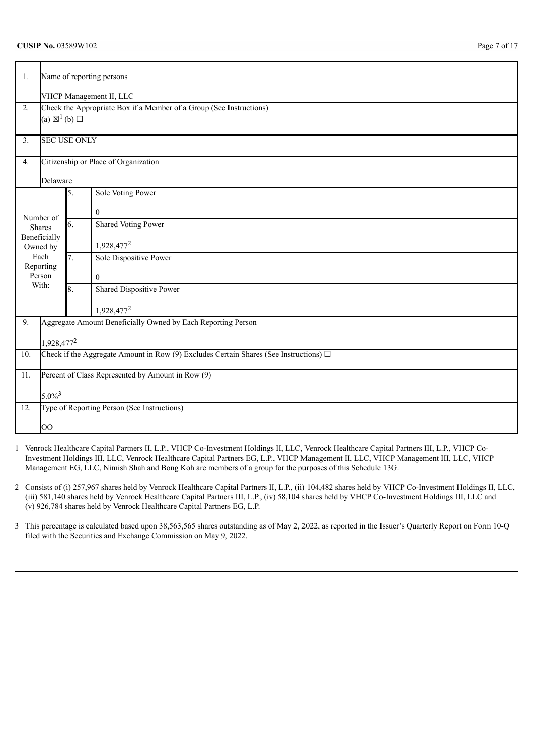| 1.            | Name of reporting persons                                                                  |                     |                                                                     |  |  |  |  |
|---------------|--------------------------------------------------------------------------------------------|---------------------|---------------------------------------------------------------------|--|--|--|--|
|               | VHCP Management II, LLC                                                                    |                     |                                                                     |  |  |  |  |
| 2.            |                                                                                            |                     | Check the Appropriate Box if a Member of a Group (See Instructions) |  |  |  |  |
|               | (a) $\boxtimes^1$ (b) $\square$                                                            |                     |                                                                     |  |  |  |  |
| 3.            |                                                                                            | <b>SEC USE ONLY</b> |                                                                     |  |  |  |  |
| 4.            |                                                                                            |                     | Citizenship or Place of Organization                                |  |  |  |  |
|               | Delaware                                                                                   |                     |                                                                     |  |  |  |  |
|               |                                                                                            | 5.                  | Sole Voting Power                                                   |  |  |  |  |
| Number of     |                                                                                            |                     | $\bf{0}$                                                            |  |  |  |  |
| <b>Shares</b> |                                                                                            | 6.                  | Shared Voting Power                                                 |  |  |  |  |
| Owned by      | Beneficially                                                                               |                     | 1,928,477 <sup>2</sup>                                              |  |  |  |  |
| Each          |                                                                                            | 7.                  | Sole Dispositive Power                                              |  |  |  |  |
| Person        | Reporting                                                                                  |                     | $\theta$                                                            |  |  |  |  |
| With:         |                                                                                            | 8.                  | Shared Dispositive Power                                            |  |  |  |  |
|               |                                                                                            |                     | 1,928,477 <sup>2</sup>                                              |  |  |  |  |
| 9.            |                                                                                            |                     | Aggregate Amount Beneficially Owned by Each Reporting Person        |  |  |  |  |
|               | 1,928,477 <sup>2</sup>                                                                     |                     |                                                                     |  |  |  |  |
| 10.           | Check if the Aggregate Amount in Row (9) Excludes Certain Shares (See Instructions) $\Box$ |                     |                                                                     |  |  |  |  |
| 11.           | Percent of Class Represented by Amount in Row (9)                                          |                     |                                                                     |  |  |  |  |
|               |                                                                                            |                     |                                                                     |  |  |  |  |
|               | $5.0\%^{3}$                                                                                |                     |                                                                     |  |  |  |  |
| 12.           |                                                                                            |                     | Type of Reporting Person (See Instructions)                         |  |  |  |  |
|               | OO                                                                                         |                     |                                                                     |  |  |  |  |

- 1 Venrock Healthcare Capital Partners II, L.P., VHCP Co-Investment Holdings II, LLC, Venrock Healthcare Capital Partners III, L.P., VHCP Co-Investment Holdings III, LLC, Venrock Healthcare Capital Partners EG, L.P., VHCP Management II, LLC, VHCP Management III, LLC, VHCP Management EG, LLC, Nimish Shah and Bong Koh are members of a group for the purposes of this Schedule 13G.
- 2 Consists of (i) 257,967 shares held by Venrock Healthcare Capital Partners II, L.P., (ii) 104,482 shares held by VHCP Co-Investment Holdings II, LLC, (iii) 581,140 shares held by Venrock Healthcare Capital Partners III, L.P., (iv) 58,104 shares held by VHCP Co-Investment Holdings III, LLC and (v) 926,784 shares held by Venrock Healthcare Capital Partners EG, L.P.
- 3 This percentage is calculated based upon 38,563,565 shares outstanding as of May 2, 2022, as reported in the Issuer's Quarterly Report on Form 10-Q filed with the Securities and Exchange Commission on May 9, 2022.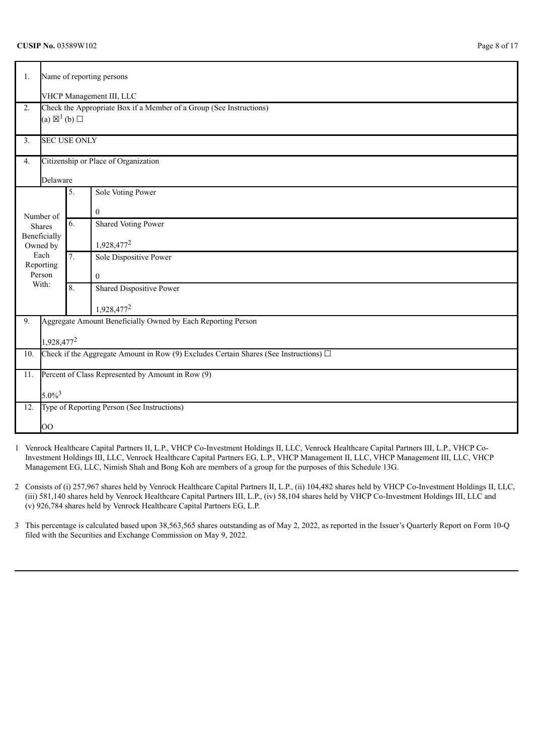| 1.  | Name of reporting persons                                                                  |                          |                                                                     |  |  |  |  |  |  |
|-----|--------------------------------------------------------------------------------------------|--------------------------|---------------------------------------------------------------------|--|--|--|--|--|--|
|     |                                                                                            | VHCP Management III, LLC |                                                                     |  |  |  |  |  |  |
| 2.  |                                                                                            |                          | Check the Appropriate Box if a Member of a Group (See Instructions) |  |  |  |  |  |  |
|     | (a) $\boxtimes^1$ (b) $\square$                                                            |                          |                                                                     |  |  |  |  |  |  |
| 3.  | <b>SEC USE ONLY</b>                                                                        |                          |                                                                     |  |  |  |  |  |  |
|     |                                                                                            |                          |                                                                     |  |  |  |  |  |  |
| 4.  |                                                                                            |                          | Citizenship or Place of Organization                                |  |  |  |  |  |  |
|     | Delaware                                                                                   |                          |                                                                     |  |  |  |  |  |  |
|     |                                                                                            | 5.                       | Sole Voting Power                                                   |  |  |  |  |  |  |
|     | Number of                                                                                  |                          | $\mathbf{0}$                                                        |  |  |  |  |  |  |
|     | Shares                                                                                     | 6.                       | Shared Voting Power                                                 |  |  |  |  |  |  |
|     | Beneficially                                                                               |                          | 1,928,477 <sup>2</sup>                                              |  |  |  |  |  |  |
|     | Owned by<br>Each                                                                           | 7.                       | Sole Dispositive Power                                              |  |  |  |  |  |  |
|     | Reporting                                                                                  |                          |                                                                     |  |  |  |  |  |  |
|     | Person<br>With:                                                                            |                          | $\theta$                                                            |  |  |  |  |  |  |
|     |                                                                                            | 8.                       | Shared Dispositive Power                                            |  |  |  |  |  |  |
|     |                                                                                            |                          | 1,928,477 <sup>2</sup>                                              |  |  |  |  |  |  |
| 9.  |                                                                                            |                          | Aggregate Amount Beneficially Owned by Each Reporting Person        |  |  |  |  |  |  |
|     | 1,928,477 <sup>2</sup>                                                                     |                          |                                                                     |  |  |  |  |  |  |
| 10. | Check if the Aggregate Amount in Row (9) Excludes Certain Shares (See Instructions) $\Box$ |                          |                                                                     |  |  |  |  |  |  |
|     |                                                                                            |                          |                                                                     |  |  |  |  |  |  |
| 11. | Percent of Class Represented by Amount in Row (9)                                          |                          |                                                                     |  |  |  |  |  |  |
|     | $5.0\%^{3}$                                                                                |                          |                                                                     |  |  |  |  |  |  |
| 12. |                                                                                            |                          | Type of Reporting Person (See Instructions)                         |  |  |  |  |  |  |
|     | 00                                                                                         |                          |                                                                     |  |  |  |  |  |  |

- 1 Venrock Healthcare Capital Partners II, L.P., VHCP Co-Investment Holdings II, LLC, Venrock Healthcare Capital Partners III, L.P., VHCP Co-Investment Holdings III, LLC, Venrock Healthcare Capital Partners EG, L.P., VHCP Management II, LLC, VHCP Management III, LLC, VHCP Management EG, LLC, Nimish Shah and Bong Koh are members of a group for the purposes of this Schedule 13G.
- 2 Consists of (i) 257,967 shares held by Venrock Healthcare Capital Partners II, L.P., (ii) 104,482 shares held by VHCP Co-Investment Holdings II, LLC, (iii) 581,140 shares held by Venrock Healthcare Capital Partners III, L.P., (iv) 58,104 shares held by VHCP Co-Investment Holdings III, LLC and (v) 926,784 shares held by Venrock Healthcare Capital Partners EG, L.P.
- 3 This percentage is calculated based upon 38,563,565 shares outstanding as of May 2, 2022, as reported in the Issuer's Quarterly Report on Form 10-Q filed with the Securities and Exchange Commission on May 9, 2022.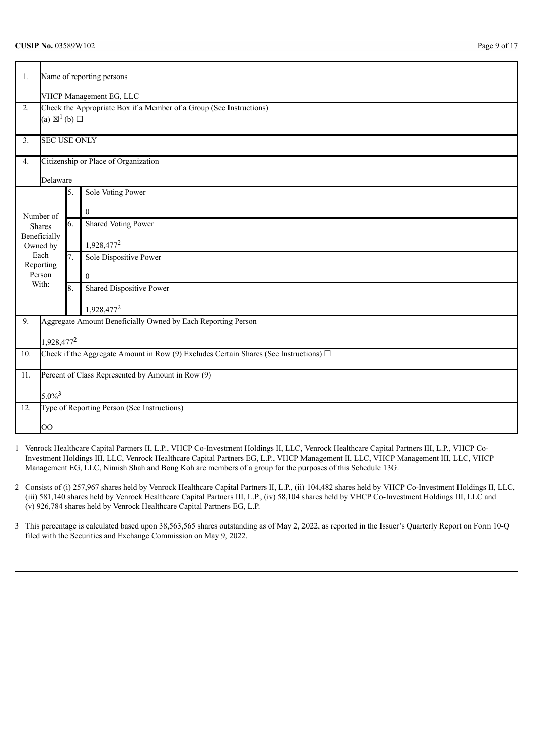| 1.     | Name of reporting persons       |                         |                                                                                            |  |  |  |  |  |
|--------|---------------------------------|-------------------------|--------------------------------------------------------------------------------------------|--|--|--|--|--|
|        |                                 | VHCP Management EG, LLC |                                                                                            |  |  |  |  |  |
| 2.     |                                 |                         | Check the Appropriate Box if a Member of a Group (See Instructions)                        |  |  |  |  |  |
|        | (a) $\boxtimes^1$ (b) $\square$ |                         |                                                                                            |  |  |  |  |  |
| 3.     | <b>SEC USE ONLY</b>             |                         |                                                                                            |  |  |  |  |  |
| 4.     |                                 |                         | Citizenship or Place of Organization                                                       |  |  |  |  |  |
|        | Delaware                        |                         |                                                                                            |  |  |  |  |  |
|        |                                 | 5.                      | Sole Voting Power                                                                          |  |  |  |  |  |
|        | Number of                       |                         | $\overline{0}$                                                                             |  |  |  |  |  |
| Shares |                                 | 6.                      | Shared Voting Power                                                                        |  |  |  |  |  |
|        | Beneficially<br>Owned by        |                         | 1,928,477 <sup>2</sup>                                                                     |  |  |  |  |  |
| Each   |                                 | 7.                      | Sole Dispositive Power                                                                     |  |  |  |  |  |
| Person | Reporting                       |                         | $\overline{0}$                                                                             |  |  |  |  |  |
| With:  |                                 | 8.                      | <b>Shared Dispositive Power</b>                                                            |  |  |  |  |  |
|        |                                 |                         | 1,928,477 <sup>2</sup>                                                                     |  |  |  |  |  |
| 9.     |                                 |                         | Aggregate Amount Beneficially Owned by Each Reporting Person                               |  |  |  |  |  |
|        | 1,928,477 <sup>2</sup>          |                         |                                                                                            |  |  |  |  |  |
| 10.    |                                 |                         | Check if the Aggregate Amount in Row (9) Excludes Certain Shares (See Instructions) $\Box$ |  |  |  |  |  |
|        |                                 |                         |                                                                                            |  |  |  |  |  |
| 11.    |                                 |                         | Percent of Class Represented by Amount in Row (9)                                          |  |  |  |  |  |
|        | $5.0\%^{3}$                     |                         |                                                                                            |  |  |  |  |  |
| 12.    |                                 |                         | Type of Reporting Person (See Instructions)                                                |  |  |  |  |  |
|        | $\overline{O}O$                 |                         |                                                                                            |  |  |  |  |  |

- 1 Venrock Healthcare Capital Partners II, L.P., VHCP Co-Investment Holdings II, LLC, Venrock Healthcare Capital Partners III, L.P., VHCP Co-Investment Holdings III, LLC, Venrock Healthcare Capital Partners EG, L.P., VHCP Management II, LLC, VHCP Management III, LLC, VHCP Management EG, LLC, Nimish Shah and Bong Koh are members of a group for the purposes of this Schedule 13G.
- 2 Consists of (i) 257,967 shares held by Venrock Healthcare Capital Partners II, L.P., (ii) 104,482 shares held by VHCP Co-Investment Holdings II, LLC, (iii) 581,140 shares held by Venrock Healthcare Capital Partners III, L.P., (iv) 58,104 shares held by VHCP Co-Investment Holdings III, LLC and (v) 926,784 shares held by Venrock Healthcare Capital Partners EG, L.P.
- 3 This percentage is calculated based upon 38,563,565 shares outstanding as of May 2, 2022, as reported in the Issuer's Quarterly Report on Form 10-Q filed with the Securities and Exchange Commission on May 9, 2022.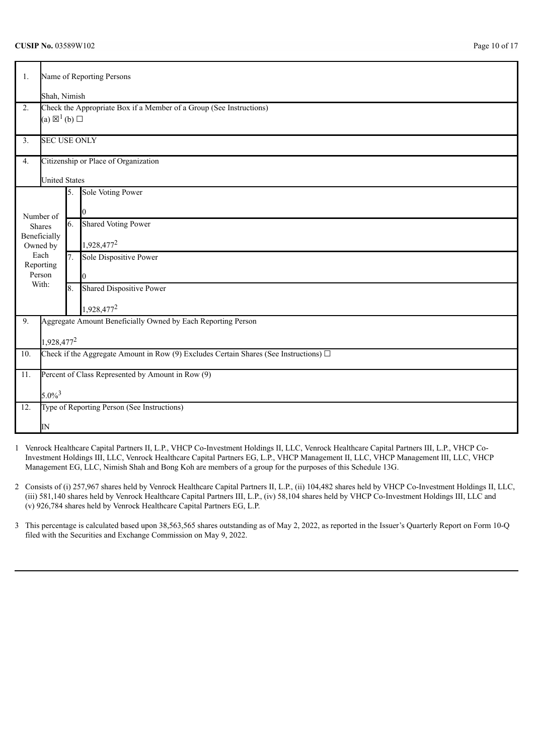| 1.               |                                                                                                                      | Name of Reporting Persons |                                                                     |  |  |  |  |
|------------------|----------------------------------------------------------------------------------------------------------------------|---------------------------|---------------------------------------------------------------------|--|--|--|--|
|                  |                                                                                                                      | Shah, Nimish              |                                                                     |  |  |  |  |
| 2.               |                                                                                                                      |                           | Check the Appropriate Box if a Member of a Group (See Instructions) |  |  |  |  |
|                  | (a) $\boxtimes^1$ (b) $\square$                                                                                      |                           |                                                                     |  |  |  |  |
| 3.               | <b>SEC USE ONLY</b>                                                                                                  |                           |                                                                     |  |  |  |  |
| 4.               |                                                                                                                      |                           | Citizenship or Place of Organization                                |  |  |  |  |
|                  | <b>United States</b>                                                                                                 |                           |                                                                     |  |  |  |  |
|                  |                                                                                                                      | 5.                        | Sole Voting Power                                                   |  |  |  |  |
|                  | Number of                                                                                                            |                           | 0                                                                   |  |  |  |  |
|                  | Shares                                                                                                               | 6.                        | <b>Shared Voting Power</b>                                          |  |  |  |  |
|                  | Beneficially                                                                                                         |                           | 1,928,477 <sup>2</sup>                                              |  |  |  |  |
| Owned by<br>Each |                                                                                                                      | 7.                        | Sole Dispositive Power                                              |  |  |  |  |
|                  | Reporting                                                                                                            |                           |                                                                     |  |  |  |  |
|                  | Person                                                                                                               |                           |                                                                     |  |  |  |  |
|                  | With:                                                                                                                | 8.                        | Shared Dispositive Power                                            |  |  |  |  |
|                  |                                                                                                                      |                           | 1,928,477 <sup>2</sup>                                              |  |  |  |  |
| 9.               |                                                                                                                      |                           | Aggregate Amount Beneficially Owned by Each Reporting Person        |  |  |  |  |
|                  |                                                                                                                      |                           |                                                                     |  |  |  |  |
| 10.              | 1,928,477 <sup>2</sup><br>Check if the Aggregate Amount in Row (9) Excludes Certain Shares (See Instructions) $\Box$ |                           |                                                                     |  |  |  |  |
|                  |                                                                                                                      |                           |                                                                     |  |  |  |  |
| 11.              |                                                                                                                      |                           | Percent of Class Represented by Amount in Row (9)                   |  |  |  |  |
|                  | $5.0\%$ <sup>3</sup>                                                                                                 |                           |                                                                     |  |  |  |  |
| 12.              |                                                                                                                      |                           | Type of Reporting Person (See Instructions)                         |  |  |  |  |
|                  |                                                                                                                      |                           |                                                                     |  |  |  |  |
|                  | IΝ                                                                                                                   |                           |                                                                     |  |  |  |  |

- 1 Venrock Healthcare Capital Partners II, L.P., VHCP Co-Investment Holdings II, LLC, Venrock Healthcare Capital Partners III, L.P., VHCP Co-Investment Holdings III, LLC, Venrock Healthcare Capital Partners EG, L.P., VHCP Management II, LLC, VHCP Management III, LLC, VHCP Management EG, LLC, Nimish Shah and Bong Koh are members of a group for the purposes of this Schedule 13G.
- 2 Consists of (i) 257,967 shares held by Venrock Healthcare Capital Partners II, L.P., (ii) 104,482 shares held by VHCP Co-Investment Holdings II, LLC, (iii) 581,140 shares held by Venrock Healthcare Capital Partners III, L.P., (iv) 58,104 shares held by VHCP Co-Investment Holdings III, LLC and (v) 926,784 shares held by Venrock Healthcare Capital Partners EG, L.P.
- 3 This percentage is calculated based upon 38,563,565 shares outstanding as of May 2, 2022, as reported in the Issuer's Quarterly Report on Form 10-Q filed with the Securities and Exchange Commission on May 9, 2022.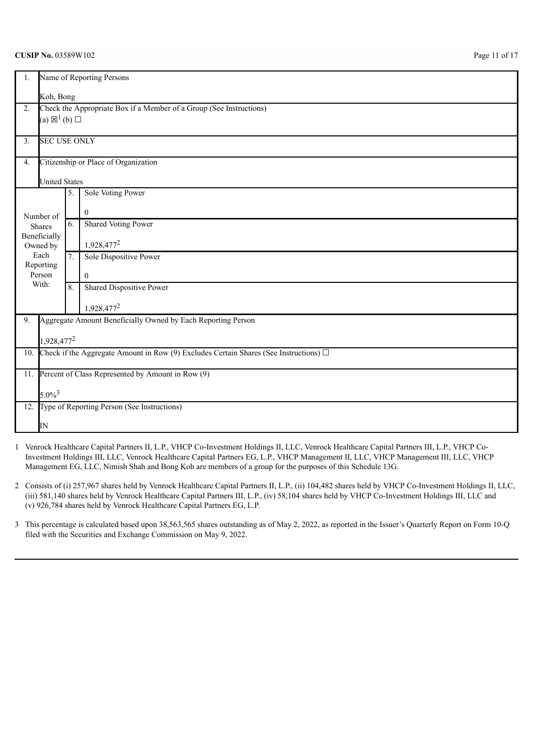| 1.             | Name of Reporting Persons                                                                  |           |                                                                     |  |  |  |  |
|----------------|--------------------------------------------------------------------------------------------|-----------|---------------------------------------------------------------------|--|--|--|--|
|                |                                                                                            | Koh, Bong |                                                                     |  |  |  |  |
| 2.             |                                                                                            |           | Check the Appropriate Box if a Member of a Group (See Instructions) |  |  |  |  |
|                | (a) $\boxtimes^1$ (b) $\square$                                                            |           |                                                                     |  |  |  |  |
| 3 <sub>1</sub> | <b>SEC USE ONLY</b>                                                                        |           |                                                                     |  |  |  |  |
| 4.             |                                                                                            |           | Citizenship or Place of Organization                                |  |  |  |  |
|                | <b>United States</b>                                                                       |           |                                                                     |  |  |  |  |
|                |                                                                                            | 5.        | <b>Sole Voting Power</b>                                            |  |  |  |  |
|                | Number of                                                                                  |           | $\mathbf{0}$                                                        |  |  |  |  |
|                | <b>Shares</b>                                                                              | 6.        | <b>Shared Voting Power</b>                                          |  |  |  |  |
|                | Beneficially<br>Owned by                                                                   |           | 1,928,477 <sup>2</sup>                                              |  |  |  |  |
|                | Each<br>Reporting                                                                          | 7.        | Sole Dispositive Power                                              |  |  |  |  |
|                | Person                                                                                     |           | $\theta$                                                            |  |  |  |  |
|                | With:                                                                                      | 8.        | Shared Dispositive Power                                            |  |  |  |  |
|                |                                                                                            |           | 1,928,477 <sup>2</sup>                                              |  |  |  |  |
| 9.             |                                                                                            |           | Aggregate Amount Beneficially Owned by Each Reporting Person        |  |  |  |  |
|                | 1,928,477 <sup>2</sup>                                                                     |           |                                                                     |  |  |  |  |
| 10.            | Check if the Aggregate Amount in Row (9) Excludes Certain Shares (See Instructions) $\Box$ |           |                                                                     |  |  |  |  |
| 11.            | Percent of Class Represented by Amount in Row (9)                                          |           |                                                                     |  |  |  |  |
|                | $5.0\%$ <sup>3</sup>                                                                       |           |                                                                     |  |  |  |  |
| 12.            |                                                                                            |           | Type of Reporting Person (See Instructions)                         |  |  |  |  |
|                | IN                                                                                         |           |                                                                     |  |  |  |  |

- 1 Venrock Healthcare Capital Partners II, L.P., VHCP Co-Investment Holdings II, LLC, Venrock Healthcare Capital Partners III, L.P., VHCP Co-Investment Holdings III, LLC, Venrock Healthcare Capital Partners EG, L.P., VHCP Management II, LLC, VHCP Management III, LLC, VHCP Management EG, LLC, Nimish Shah and Bong Koh are members of a group for the purposes of this Schedule 13G.
- 2 Consists of (i) 257,967 shares held by Venrock Healthcare Capital Partners II, L.P., (ii) 104,482 shares held by VHCP Co-Investment Holdings II, LLC, (iii) 581,140 shares held by Venrock Healthcare Capital Partners III, L.P., (iv) 58,104 shares held by VHCP Co-Investment Holdings III, LLC and (v) 926,784 shares held by Venrock Healthcare Capital Partners EG, L.P.
- 3 This percentage is calculated based upon 38,563,565 shares outstanding as of May 2, 2022, as reported in the Issuer's Quarterly Report on Form 10-Q filed with the Securities and Exchange Commission on May 9, 2022.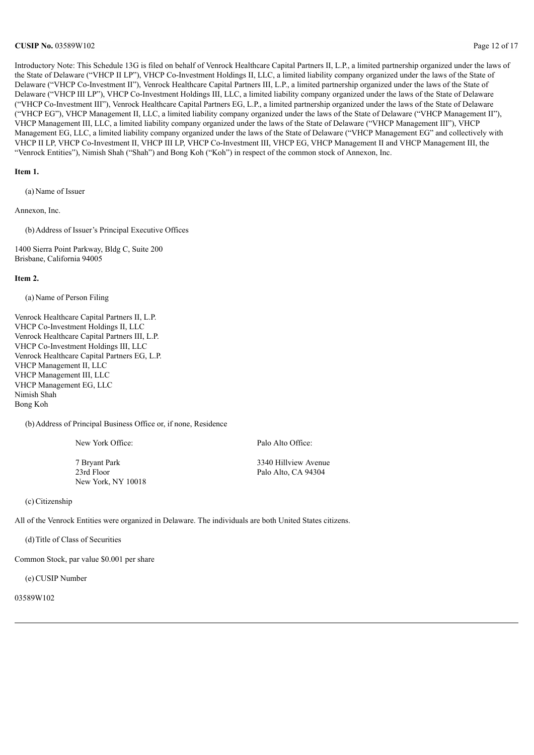### **CUSIP No.** 03589W102 **Page 12 of 17**

Introductory Note: This Schedule 13G is filed on behalf of Venrock Healthcare Capital Partners II, L.P., a limited partnership organized under the laws of the State of Delaware ("VHCP II LP"), VHCP Co-Investment Holdings II, LLC, a limited liability company organized under the laws of the State of Delaware ("VHCP Co-Investment II"), Venrock Healthcare Capital Partners III, L.P., a limited partnership organized under the laws of the State of Delaware ("VHCP III LP"), VHCP Co-Investment Holdings III, LLC, a limited liability company organized under the laws of the State of Delaware ("VHCP Co-Investment III"), Venrock Healthcare Capital Partners EG, L.P., a limited partnership organized under the laws of the State of Delaware ("VHCP EG"), VHCP Management II, LLC, a limited liability company organized under the laws of the State of Delaware ("VHCP Management II"), VHCP Management III, LLC, a limited liability company organized under the laws of the State of Delaware ("VHCP Management III"), VHCP Management EG, LLC, a limited liability company organized under the laws of the State of Delaware ("VHCP Management EG" and collectively with VHCP II LP, VHCP Co-Investment II, VHCP III LP, VHCP Co-Investment III, VHCP EG, VHCP Management II and VHCP Management III, the "Venrock Entities"), Nimish Shah ("Shah") and Bong Koh ("Koh") in respect of the common stock of Annexon, Inc.

### **Item 1.**

(a) Name of Issuer

Annexon, Inc.

(b)Address of Issuer's Principal Executive Offices

1400 Sierra Point Parkway, Bldg C, Suite 200 Brisbane, California 94005

#### **Item 2.**

(a) Name of Person Filing

Venrock Healthcare Capital Partners II, L.P. VHCP Co-Investment Holdings II, LLC Venrock Healthcare Capital Partners III, L.P. VHCP Co-Investment Holdings III, LLC Venrock Healthcare Capital Partners EG, L.P. VHCP Management II, LLC VHCP Management III, LLC VHCP Management EG, LLC Nimish Shah Bong Koh

(b)Address of Principal Business Office or, if none, Residence

7 Bryant Park 3340 Hillview Avenue 23rd Floor Palo Alto, CA 94304 New York, NY 10018

New York Office: Palo Alto Office:

(c)Citizenship

All of the Venrock Entities were organized in Delaware. The individuals are both United States citizens.

(d)Title of Class of Securities

Common Stock, par value \$0.001 per share

(e)CUSIP Number

03589W102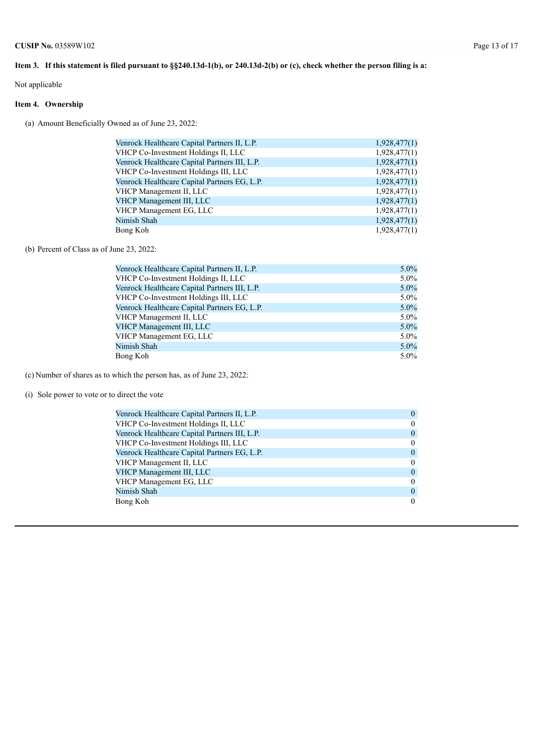# Item 3. If this statement is filed pursuant to §§240.13d-1(b), or 240.13d-2(b) or (c), check whether the person filing is a:

Not applicable

# **Item 4. Ownership**

(a) Amount Beneficially Owned as of June 23, 2022:

| Venrock Healthcare Capital Partners II, L.P.  | 1,928,477(1) |
|-----------------------------------------------|--------------|
| VHCP Co-Investment Holdings II, LLC           | 1,928,477(1) |
| Venrock Healthcare Capital Partners III, L.P. | 1,928,477(1) |
| VHCP Co-Investment Holdings III, LLC          | 1,928,477(1) |
| Venrock Healthcare Capital Partners EG, L.P.  | 1,928,477(1) |
| VHCP Management II, LLC                       | 1,928,477(1) |
| VHCP Management III, LLC                      | 1,928,477(1) |
| VHCP Management EG, LLC                       | 1,928,477(1) |
| Nimish Shah                                   | 1,928,477(1) |
| Bong Koh                                      | 1,928,477(1) |

(b) Percent of Class as of June 23, 2022:

| Venrock Healthcare Capital Partners II, L.P.  | $5.0\%$ |
|-----------------------------------------------|---------|
| VHCP Co-Investment Holdings II, LLC           | $5.0\%$ |
| Venrock Healthcare Capital Partners III, L.P. | $5.0\%$ |
| VHCP Co-Investment Holdings III, LLC          | $5.0\%$ |
| Venrock Healthcare Capital Partners EG, L.P.  | $5.0\%$ |
| VHCP Management II, LLC                       | $5.0\%$ |
| VHCP Management III, LLC                      | $5.0\%$ |
| VHCP Management EG, LLC                       | $5.0\%$ |
| Nimish Shah                                   | $5.0\%$ |
| Bong Koh                                      | $5.0\%$ |

(c) Number of shares as to which the person has, as of June 23, 2022:

(i) Sole power to vote or to direct the vote

| Venrock Healthcare Capital Partners II, L.P.  | $\theta$       |
|-----------------------------------------------|----------------|
| VHCP Co-Investment Holdings II, LLC           | $\bf{0}$       |
| Venrock Healthcare Capital Partners III, L.P. | $\theta$       |
| VHCP Co-Investment Holdings III, LLC          | $\theta$       |
| Venrock Healthcare Capital Partners EG, L.P.  | $\overline{0}$ |
| VHCP Management II, LLC                       | $\theta$       |
| VHCP Management III, LLC                      | $\theta$       |
| VHCP Management EG, LLC                       | $\theta$       |
| Nimish Shah                                   | $\theta$       |
| Bong Koh                                      | $\Omega$       |
|                                               |                |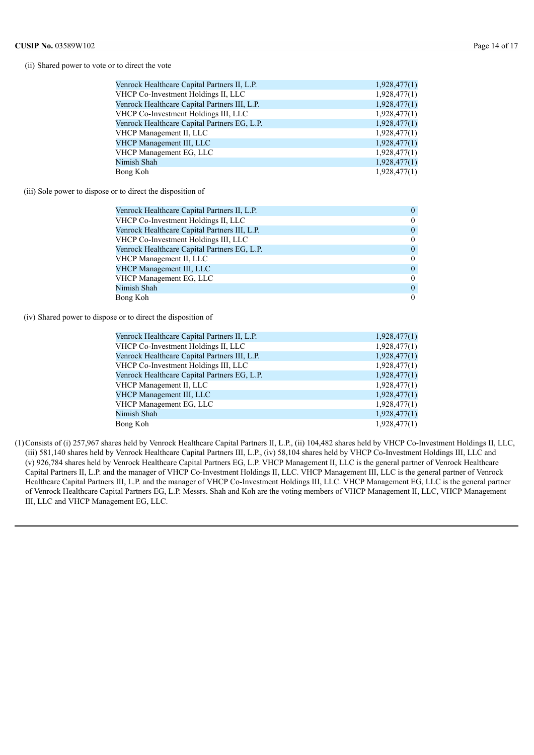(ii) Shared power to vote or to direct the vote

| Venrock Healthcare Capital Partners II, L.P.  | 1,928,477(1) |
|-----------------------------------------------|--------------|
| VHCP Co-Investment Holdings II, LLC           | 1,928,477(1) |
| Venrock Healthcare Capital Partners III, L.P. | 1,928,477(1) |
| VHCP Co-Investment Holdings III, LLC          | 1,928,477(1) |
| Venrock Healthcare Capital Partners EG, L.P.  | 1,928,477(1) |
| VHCP Management II, LLC                       | 1,928,477(1) |
| VHCP Management III, LLC                      | 1,928,477(1) |
| VHCP Management EG, LLC                       | 1,928,477(1) |
| Nimish Shah                                   | 1,928,477(1) |
| Bong Koh                                      | 1,928,477(1) |
|                                               |              |

(iii) Sole power to dispose or to direct the disposition of

| $\theta$       |
|----------------|
| $\overline{0}$ |
| $\theta$       |
| $\overline{0}$ |
| $\overline{0}$ |
| $\theta$       |
| $\theta$       |
| $\theta$       |
| $\theta$       |
| $\theta$       |
|                |

(iv) Shared power to dispose or to direct the disposition of

| Venrock Healthcare Capital Partners II, L.P.  | 1,928,477(1) |
|-----------------------------------------------|--------------|
| VHCP Co-Investment Holdings II, LLC           | 1,928,477(1) |
| Venrock Healthcare Capital Partners III, L.P. | 1,928,477(1) |
| VHCP Co-Investment Holdings III, LLC          | 1,928,477(1) |
| Venrock Healthcare Capital Partners EG, L.P.  | 1,928,477(1) |
| VHCP Management II, LLC                       | 1,928,477(1) |
| VHCP Management III, LLC                      | 1,928,477(1) |
| VHCP Management EG, LLC                       | 1,928,477(1) |
| Nimish Shah                                   | 1,928,477(1) |
| Bong Koh                                      | 1,928,477(1) |

(1)Consists of (i) 257,967 shares held by Venrock Healthcare Capital Partners II, L.P., (ii) 104,482 shares held by VHCP Co-Investment Holdings II, LLC, (iii) 581,140 shares held by Venrock Healthcare Capital Partners III, L.P., (iv) 58,104 shares held by VHCP Co-Investment Holdings III, LLC and (v) 926,784 shares held by Venrock Healthcare Capital Partners EG, L.P. VHCP Management II, LLC is the general partner of Venrock Healthcare Capital Partners II, L.P. and the manager of VHCP Co-Investment Holdings II, LLC. VHCP Management III, LLC is the general partner of Venrock Healthcare Capital Partners III, L.P. and the manager of VHCP Co-Investment Holdings III, LLC. VHCP Management EG, LLC is the general partner of Venrock Healthcare Capital Partners EG, L.P. Messrs. Shah and Koh are the voting members of VHCP Management II, LLC, VHCP Management III, LLC and VHCP Management EG, LLC.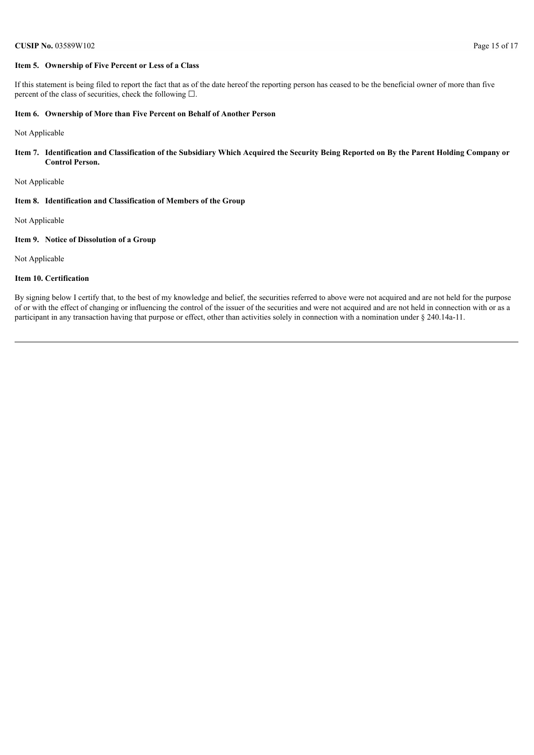### **Item 5. Ownership of Five Percent or Less of a Class**

If this statement is being filed to report the fact that as of the date hereof the reporting person has ceased to be the beneficial owner of more than five percent of the class of securities, check the following  $\Box$ .

# **Item 6. Ownership of More than Five Percent on Behalf of Another Person**

Not Applicable

Item 7. Identification and Classification of the Subsidiary Which Acquired the Security Being Reported on By the Parent Holding Company or **Control Person.**

Not Applicable

#### **Item 8. Identification and Classification of Members of the Group**

Not Applicable

### **Item 9. Notice of Dissolution of a Group**

Not Applicable

### **Item 10. Certification**

By signing below I certify that, to the best of my knowledge and belief, the securities referred to above were not acquired and are not held for the purpose of or with the effect of changing or influencing the control of the issuer of the securities and were not acquired and are not held in connection with or as a participant in any transaction having that purpose or effect, other than activities solely in connection with a nomination under § 240.14a-11.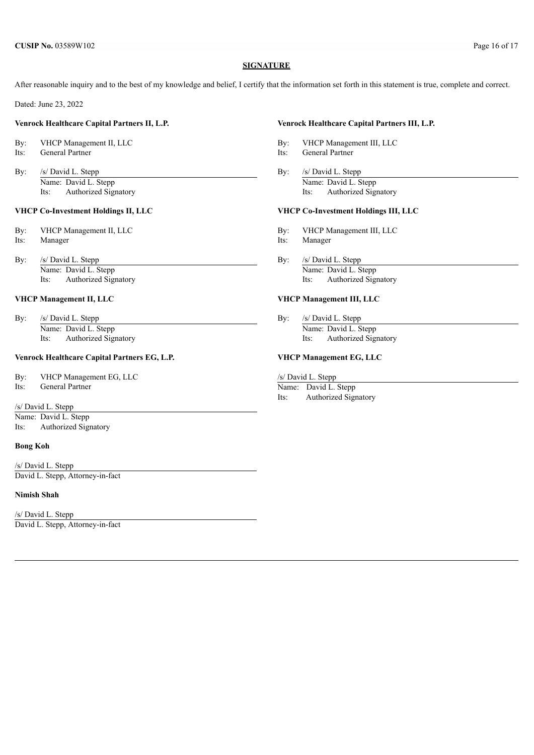### **SIGNATURE**

After reasonable inquiry and to the best of my knowledge and belief, I certify that the information set forth in this statement is true, complete and correct.

Dated: June 23, 2022

# **Venrock Healthcare Capital Partners II, L.P. Venrock Healthcare Capital Partners III, L.P.**

By: VHCP Management II, LLC By: VHCP Management III, LLC Its: General Partner and The Compact of the United States and Taxas and Partner Its: General Partner

By: /s/ David L. Stepp By: /s/ David L. Stepp By: /s/ David L. Stepp Its: Authorized Signatory Its: Authorized Signatory

#### **VHCP Co-Investment Holdings II, LLC VHCP Co-Investment Holdings III, LLC**

By: /s/ David L. Stepp By: /s/ David L. Stepp By: Name: David L. Stepp Name: David L. Stepp Its: Authorized Signatory Its: Authorized Signatory

By: /s/ David L. Stepp By: /s/ David L. Stepp By: /s/ David L. Stepp By:

# **Venrock Healthcare Capital Partners EG, L.P. VHCP Management EG, LLC**

By: VHCP Management EG, LLC /s/ David L. Stepp

Its: General Partner Name: David L. Stepp

/s/ David L. Stepp

Name: David L. Stepp Its: Authorized Signatory

# **Bong Koh**

/s/ David L. Stepp David L. Stepp, Attorney-in-fact

# **Nimish Shah**

/s/ David L. Stepp David L. Stepp, Attorney-in-fact

- 
- 
- Name: David L. Stepp Name: David L. Stepp Name: David L. Stepp Name: David L. Stepp Name: David L. Stepp Name: David L. Stepp Name: David L. Stepp Name: David L. Stepp Name: David L. Stepp Name: David L. Stepp Name: David

- By: VHCP Management II, LLC By: VHCP Management III, LLC
- Its: Manager Its: Manager Its: Manager
	-

#### **VHCP Management II, LLC VHCP Management III, LLC**

Name: David L. Stepp Name: David L. Stepp Its: Authorized Signatory Its: Authorized Signatory

Its: Authorized Signatory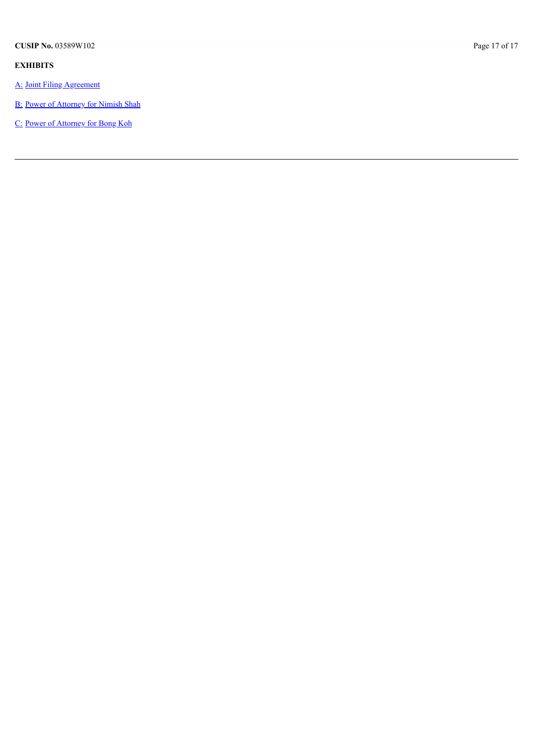# **E X H I B I T S**

- [A:](#page-17-0) Joint Filing Agree[m](#page-17-0)ent
- **B**: Power of Attorney for N[im](#page-18-0)ish Shah
- [C:](#page-19-0) Power of Atto[rn](#page-19-0)ey for Bong Koh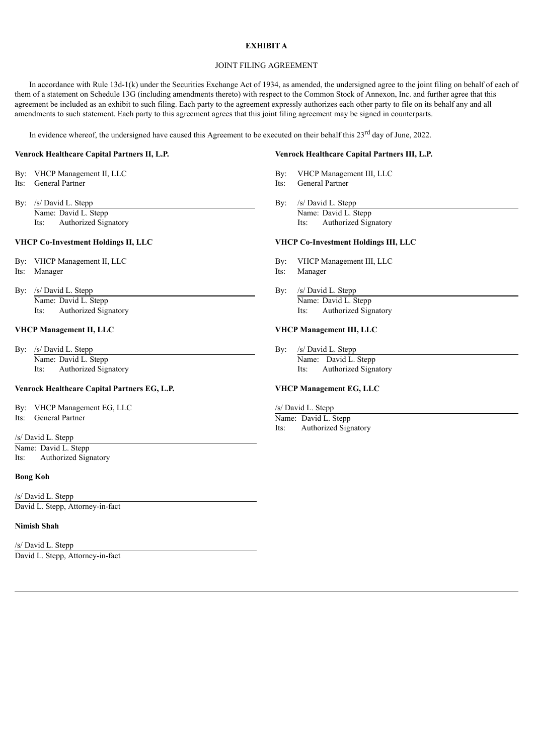# **EXHIBIT A**

# JOINT FILING AGREEMENT

<span id="page-17-0"></span>In accordance with Rule 13d-1(k) under the Securities Exchange Act of 1934, as amended, the undersigned agree to the joint filing on behalf of each of them of a statement on Schedule 13G (including amendments thereto) with respect to the Common Stock of Annexon, Inc. and further agree that this agreement be included as an exhibit to such filing. Each party to the agreement expressly authorizes each other party to file on its behalf any and all amendments to such statement. Each party to this agreement agrees that this joint filing agreement may be signed in counterparts.

In evidence whereof, the undersigned have caused this Agreement to be executed on their behalf this 23<sup>rd</sup> day of June, 2022.

- 
- 
- By: /s/ David L. Stepp By: /s/ David L. Stepp By: /s/ David L. Stepp Its: Authorized Signatory Its: Authorized Signatory

- 
- 
- By: /s/ David L. Stepp By: /s/ David L. Stepp By: /s/ David L. Stepp By: /s/ David L. Stepp By: /s/ David L. Stepp By: /s/ David L. Stepp By: /s/ David L. Stepp By: /s/ David L. Stepp By: /s/ David L. Stepp By: /s/ David L

By: /s/ David L. Stepp By: /s/ David L. Stepp By: /s/ David L. Stepp Its: Authorized Signatory Its: Authorized Signatory

# **Venrock Healthcare Capital Partners EG, L.P. VHCP Management EG, LLC**

- By: VHCP Management EG, LLC /s/ David L. Stepp
- 

/s/ David L. Stepp Name: David L. Stepp Its: Authorized Signatory

## **Bong Koh**

/s/ David L. Stepp David L. Stepp, Attorney-in-fact

## **Nimish Shah**

/s/ David L. Stepp David L. Stepp, Attorney-in-fact

## **Venrock Healthcare Capital Partners II, L.P. Venrock Healthcare Capital Partners III, L.P.**

- By: VHCP Management II, LLC By: VHCP Management III, LLC
- Its: General Partner and Partner and Partner and Partner and Partner and Partner and Partner and Partner and Partner
	- Name: David L. Stepp Name: David L. Stepp Name: David L. Stepp Name: David L. Stepp Name: David L. Stepp Name:  $\frac{1}{15}$ :

# **VHCP Co-Investment Holdings II, LLC VHCP Co-Investment Holdings III, LLC**

- By: VHCP Management II, LLC By: VHCP Management III, LLC
- Its: Manager Its: Manager
	- Name: David L. Stepp Name: David L. Stepp Its: Authorized Signatory Its: Authorized Signatory

# **VHCP Management II, LLC VHCP Management III, LLC**

Name: David L. Stepp Name: David L. Stepp Name: David L. Stepp

Its: General Partner Name: David L. Stepp

Its: Authorized Signatory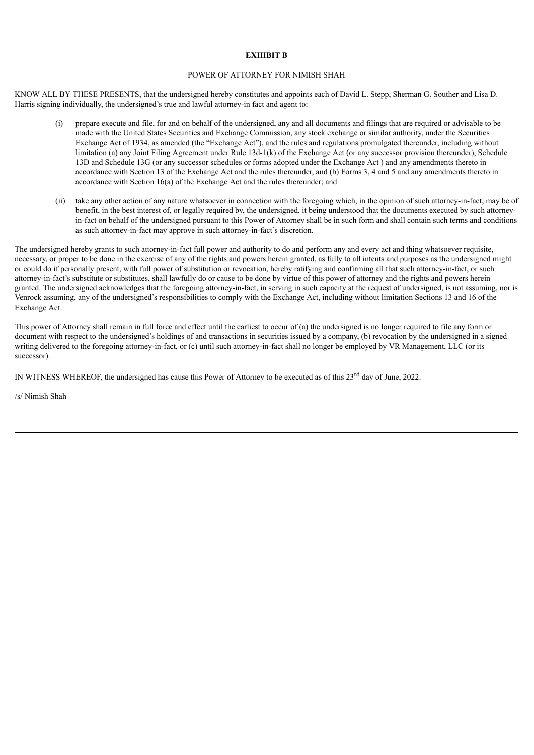# **EXHIBIT B**

### POWER OF ATTORNEY FOR NIMISH SHAH

<span id="page-18-0"></span>KNOW ALL BY THESE PRESENTS, that the undersigned hereby constitutes and appoints each of David L. Stepp, Sherman G. Souther and Lisa D. Harris signing individually, the undersigned's true and lawful attorney-in fact and agent to:

- (i) prepare execute and file, for and on behalf of the undersigned, any and all documents and filings that are required or advisable to be made with the United States Securities and Exchange Commission, any stock exchange or similar authority, under the Securities Exchange Act of 1934, as amended (the "Exchange Act"), and the rules and regulations promulgated thereunder, including without limitation (a) any Joint Filing Agreement under Rule 13d-1(k) of the Exchange Act (or any successor provision thereunder), Schedule 13D and Schedule 13G (or any successor schedules or forms adopted under the Exchange Act ) and any amendments thereto in accordance with Section 13 of the Exchange Act and the rules thereunder, and (b) Forms 3, 4 and 5 and any amendments thereto in accordance with Section 16(a) of the Exchange Act and the rules thereunder; and
- (ii) take any other action of any nature whatsoever in connection with the foregoing which, in the opinion of such attorney-in-fact, may be of benefit, in the best interest of, or legally required by, the undersigned, it being understood that the documents executed by such attorneyin-fact on behalf of the undersigned pursuant to this Power of Attorney shall be in such form and shall contain such terms and conditions as such attorney-in-fact may approve in such attorney-in-fact's discretion.

The undersigned hereby grants to such attorney-in-fact full power and authority to do and perform any and every act and thing whatsoever requisite, necessary, or proper to be done in the exercise of any of the rights and powers herein granted, as fully to all intents and purposes as the undersigned might or could do if personally present, with full power of substitution or revocation, hereby ratifying and confirming all that such attorney-in-fact, or such attorney-in-fact's substitute or substitutes, shall lawfully do or cause to be done by virtue of this power of attorney and the rights and powers herein granted. The undersigned acknowledges that the foregoing attorney-in-fact, in serving in such capacity at the request of undersigned, is not assuming, nor is Venrock assuming, any of the undersigned's responsibilities to comply with the Exchange Act, including without limitation Sections 13 and 16 of the Exchange Act.

This power of Attorney shall remain in full force and effect until the earliest to occur of (a) the undersigned is no longer required to file any form or document with respect to the undersigned's holdings of and transactions in securities issued by a company, (b) revocation by the undersigned in a signed writing delivered to the foregoing attorney-in-fact, or (c) until such attorney-in-fact shall no longer be employed by VR Management, LLC (or its successor).

IN WITNESS WHEREOF, the undersigned has cause this Power of Attorney to be executed as of this 23<sup>rd</sup> day of June, 2022.

/s/ Nimish Shah